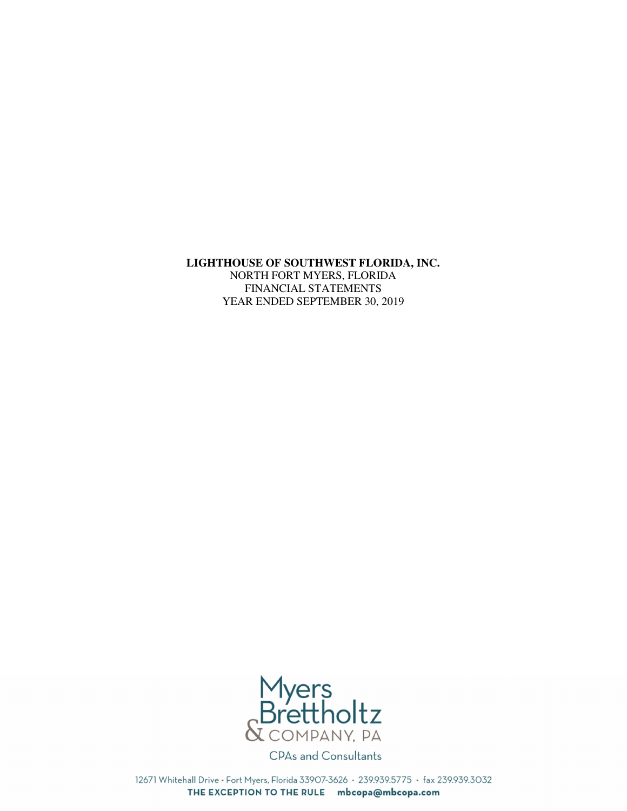### **LIGHTHOUSE OF SOUTHWEST FLORIDA, INC.**

NORTH FORT MYERS, FLORIDA FINANCIAL STATEMENTS YEAR ENDED SEPTEMBER 30, 2019



12671 Whitehall Drive · Fort Myers, Florida 33907-3626 · 239.939.5775 · fax 239.939.3032 THE EXCEPTION TO THE RULE mbcopa@mbcopa.com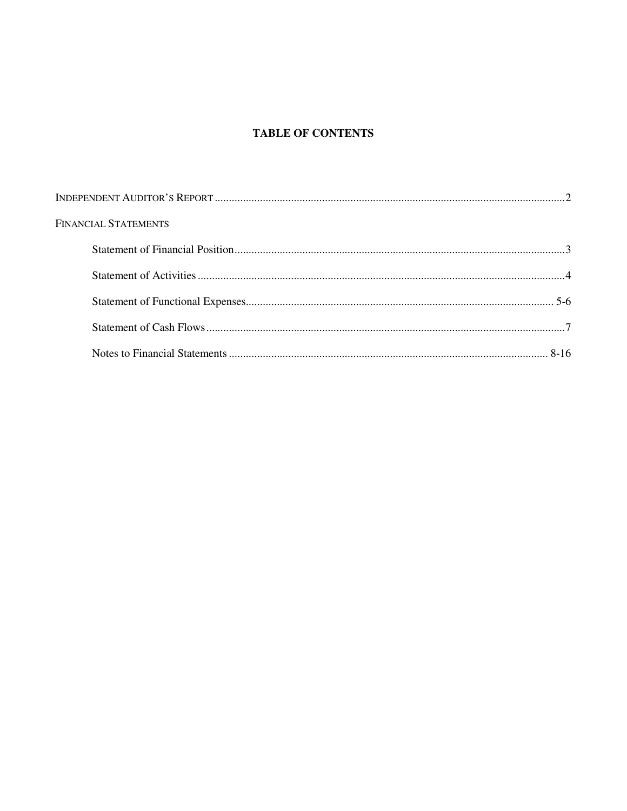# **TABLE OF CONTENTS**

| <b>FINANCIAL STATEMENTS</b> |  |
|-----------------------------|--|
|                             |  |
|                             |  |
|                             |  |
|                             |  |
|                             |  |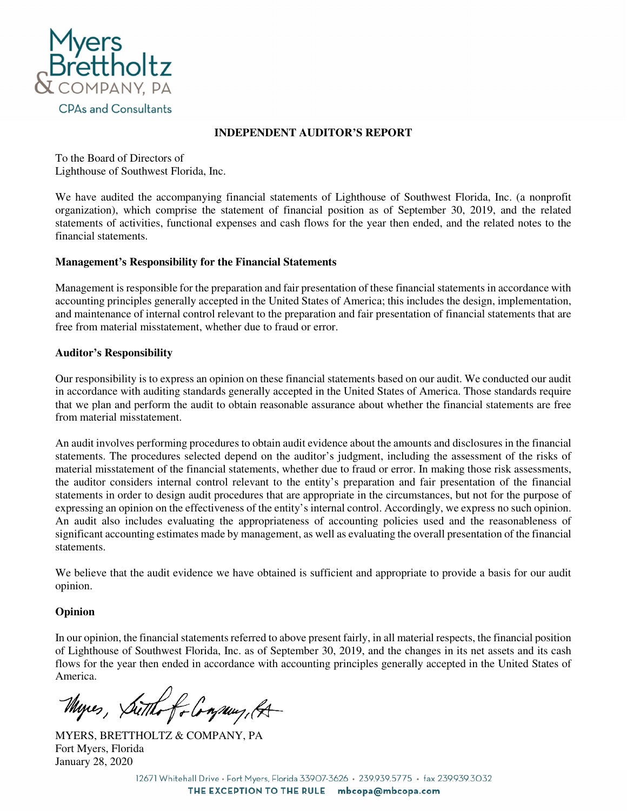

## **INDEPENDENT AUDITOR'S REPORT**

To the Board of Directors of Lighthouse of Southwest Florida, Inc.

We have audited the accompanying financial statements of Lighthouse of Southwest Florida, Inc. (a nonprofit organization), which comprise the statement of financial position as of September 30, 2019, and the related statements of activities, functional expenses and cash flows for the year then ended, and the related notes to the financial statements.

## **Management's Responsibility for the Financial Statements**

Management is responsible for the preparation and fair presentation of these financial statements in accordance with accounting principles generally accepted in the United States of America; this includes the design, implementation, and maintenance of internal control relevant to the preparation and fair presentation of financial statements that are free from material misstatement, whether due to fraud or error.

# **Auditor's Responsibility**

Our responsibility is to express an opinion on these financial statements based on our audit. We conducted our audit in accordance with auditing standards generally accepted in the United States of America. Those standards require that we plan and perform the audit to obtain reasonable assurance about whether the financial statements are free from material misstatement.

An audit involves performing procedures to obtain audit evidence about the amounts and disclosures in the financial statements. The procedures selected depend on the auditor's judgment, including the assessment of the risks of material misstatement of the financial statements, whether due to fraud or error. In making those risk assessments, the auditor considers internal control relevant to the entity's preparation and fair presentation of the financial statements in order to design audit procedures that are appropriate in the circumstances, but not for the purpose of expressing an opinion on the effectiveness of the entity's internal control. Accordingly, we express no such opinion. An audit also includes evaluating the appropriateness of accounting policies used and the reasonableness of significant accounting estimates made by management, as well as evaluating the overall presentation of the financial statements.

We believe that the audit evidence we have obtained is sufficient and appropriate to provide a basis for our audit opinion.

# **Opinion**

In our opinion, the financial statements referred to above present fairly, in all material respects, the financial position of Lighthouse of Southwest Florida, Inc. as of September 30, 2019, and the changes in its net assets and its cash flows for the year then ended in accordance with accounting principles generally accepted in the United States of America.

Myres, Sutthe for Congress, ft-

MYERS, BRETTHOLTZ & COMPANY, PA Fort Myers, Florida January 28, 2020

12671 Whitehall Drive · Fort Myers, Florida 33907-3626 · 239.939.5775 · fax 239.939.3032 THE EXCEPTION TO THE RULE mbcopa@mbcopa.com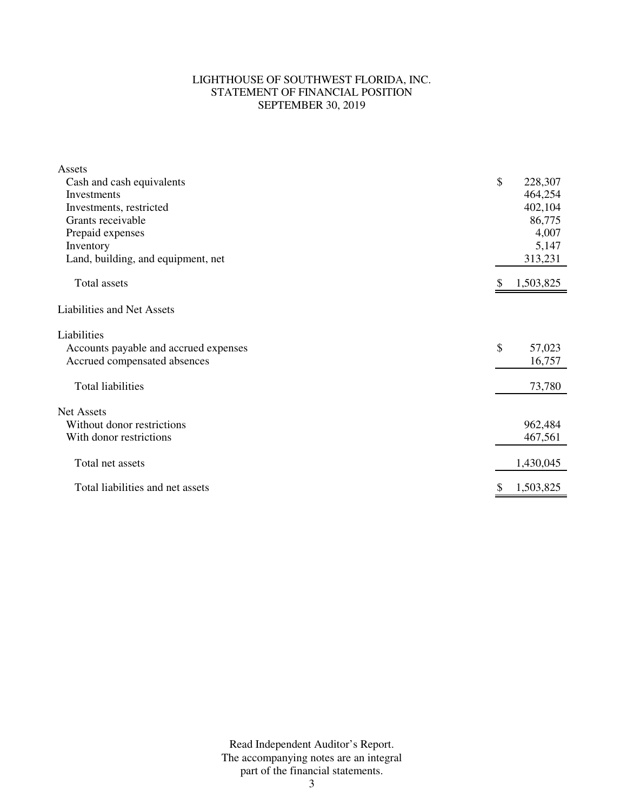## LIGHTHOUSE OF SOUTHWEST FLORIDA, INC. STATEMENT OF FINANCIAL POSITION SEPTEMBER 30, 2019

| Assets<br>Cash and cash equivalents<br>Investments<br>Investments, restricted<br>Grants receivable<br>Prepaid expenses<br>Inventory<br>Land, building, and equipment, net | \$ | 228,307<br>464,254<br>402,104<br>86,775<br>4,007<br>5,147<br>313,231 |
|---------------------------------------------------------------------------------------------------------------------------------------------------------------------------|----|----------------------------------------------------------------------|
| Total assets                                                                                                                                                              | S  | 1,503,825                                                            |
| <b>Liabilities and Net Assets</b>                                                                                                                                         |    |                                                                      |
| Liabilities<br>Accounts payable and accrued expenses<br>Accrued compensated absences                                                                                      | \$ | 57,023<br>16,757                                                     |
| <b>Total liabilities</b>                                                                                                                                                  |    | 73,780                                                               |
| <b>Net Assets</b><br>Without donor restrictions<br>With donor restrictions                                                                                                |    | 962,484<br>467,561                                                   |
| Total net assets                                                                                                                                                          |    | 1,430,045                                                            |
| Total liabilities and net assets                                                                                                                                          | \$ | 1,503,825                                                            |

Read Independent Auditor's Report. The accompanying notes are an integral part of the financial statements.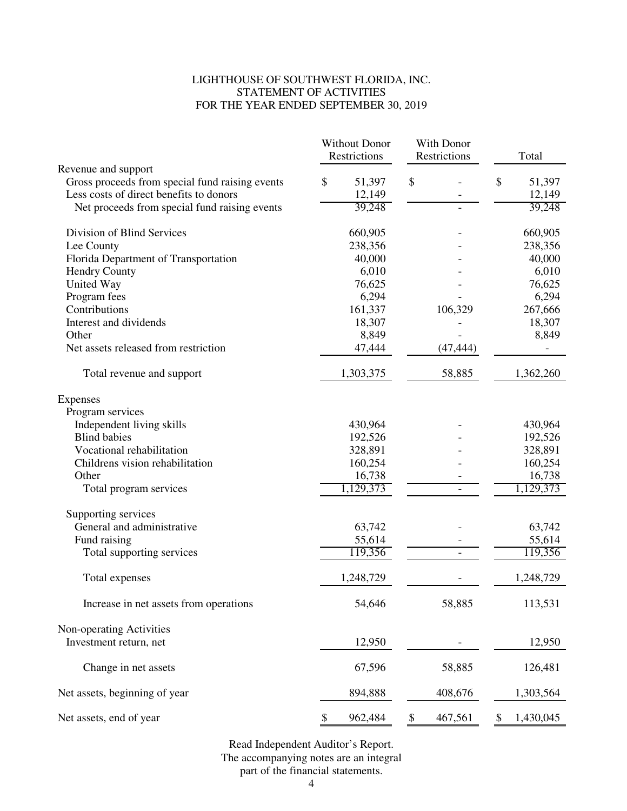## LIGHTHOUSE OF SOUTHWEST FLORIDA, INC. STATEMENT OF ACTIVITIES FOR THE YEAR ENDED SEPTEMBER 30, 2019

|                                                 | <b>Without Donor</b><br>Restrictions | With Donor<br>Restrictions | Total           |
|-------------------------------------------------|--------------------------------------|----------------------------|-----------------|
| Revenue and support                             |                                      |                            |                 |
| Gross proceeds from special fund raising events | \$<br>51,397                         | \$                         | \$<br>51,397    |
| Less costs of direct benefits to donors         | 12,149                               |                            | 12,149          |
| Net proceeds from special fund raising events   | 39,248                               |                            | 39,248          |
| Division of Blind Services                      | 660,905                              |                            | 660,905         |
| Lee County                                      | 238,356                              |                            | 238,356         |
| Florida Department of Transportation            | 40,000                               |                            | 40,000          |
| <b>Hendry County</b>                            | 6,010                                |                            | 6,010           |
| United Way                                      | 76,625                               |                            | 76,625          |
| Program fees                                    | 6,294                                |                            | 6,294           |
| Contributions                                   | 161,337                              | 106,329                    | 267,666         |
| Interest and dividends                          | 18,307                               |                            | 18,307          |
| Other                                           | 8,849                                |                            | 8,849           |
| Net assets released from restriction            | 47,444                               | (47, 444)                  |                 |
| Total revenue and support                       | 1,303,375                            | 58,885                     | 1,362,260       |
| Expenses                                        |                                      |                            |                 |
| Program services                                |                                      |                            |                 |
| Independent living skills                       | 430,964                              |                            | 430,964         |
| <b>Blind babies</b>                             | 192,526                              |                            | 192,526         |
| Vocational rehabilitation                       | 328,891                              |                            | 328,891         |
| Childrens vision rehabilitation                 | 160,254                              |                            | 160,254         |
| Other                                           | 16,738                               |                            | 16,738          |
| Total program services                          | 1,129,373                            |                            | 1,129,373       |
| Supporting services                             |                                      |                            |                 |
| General and administrative                      | 63,742                               |                            | 63,742          |
| Fund raising                                    | 55,614                               |                            | 55,614          |
| Total supporting services                       | 119,356                              |                            | 119,356         |
| Total expenses                                  | 1,248,729                            |                            | 1,248,729       |
| Increase in net assets from operations          | 54,646                               | 58,885                     | 113,531         |
| Non-operating Activities                        |                                      |                            |                 |
| Investment return, net                          | 12,950                               |                            | 12,950          |
| Change in net assets                            | 67,596                               | 58,885                     | 126,481         |
| Net assets, beginning of year                   | 894,888                              | 408,676                    | 1,303,564       |
| Net assets, end of year                         | 962,484<br>\$                        | \$<br>467,561              | 1,430,045<br>\$ |

part of the financial statements. Read Independent Auditor's Report. The accompanying notes are an integral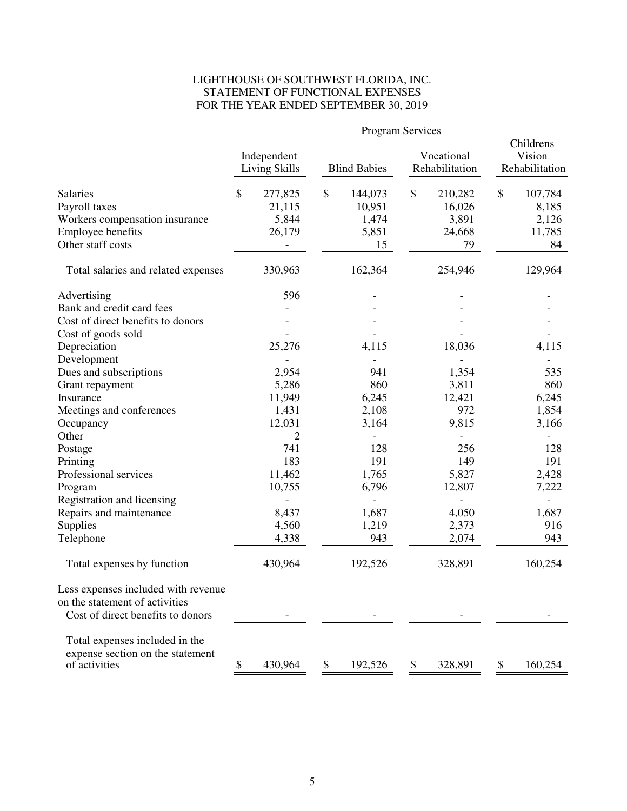# LIGHTHOUSE OF SOUTHWEST FLORIDA, INC. STATEMENT OF FUNCTIONAL EXPENSES FOR THE YEAR ENDED SEPTEMBER 30, 2019

|                                                                                                              |               |                                      |               | Program Services                          |                              |                                            |                                       |                                           |
|--------------------------------------------------------------------------------------------------------------|---------------|--------------------------------------|---------------|-------------------------------------------|------------------------------|--------------------------------------------|---------------------------------------|-------------------------------------------|
|                                                                                                              |               | Independent<br><b>Living Skills</b>  |               | <b>Blind Babies</b>                       | Vocational<br>Rehabilitation |                                            | Childrens<br>Vision<br>Rehabilitation |                                           |
| <b>Salaries</b><br>Payroll taxes<br>Workers compensation insurance<br>Employee benefits<br>Other staff costs | $\mathcal{S}$ | 277,825<br>21,115<br>5,844<br>26,179 | $\mathcal{S}$ | 144,073<br>10,951<br>1,474<br>5,851<br>15 | \$                           | 210,282<br>16,026<br>3,891<br>24,668<br>79 | $\mathcal{S}$                         | 107,784<br>8,185<br>2,126<br>11,785<br>84 |
| Total salaries and related expenses                                                                          |               | 330,963                              |               | 162,364                                   |                              | 254,946                                    |                                       | 129,964                                   |
| Advertising<br>Bank and credit card fees<br>Cost of direct benefits to donors                                |               | 596                                  |               |                                           |                              |                                            |                                       |                                           |
| Cost of goods sold<br>Depreciation                                                                           |               | 25,276                               |               | 4,115                                     |                              | 18,036                                     |                                       | 4,115                                     |
| Development<br>Dues and subscriptions                                                                        |               | 2,954                                |               | 941                                       |                              | 1,354                                      |                                       | 535                                       |
| Grant repayment<br>Insurance<br>Meetings and conferences                                                     |               | 5,286<br>11,949<br>1,431             |               | 860<br>6,245<br>2,108                     |                              | 3,811<br>12,421<br>972                     |                                       | 860<br>6,245<br>1,854                     |
| Occupancy<br>Other                                                                                           |               | 12,031<br>2                          |               | 3,164                                     |                              | 9,815                                      |                                       | 3,166                                     |
| Postage<br>Printing                                                                                          |               | 741<br>183                           |               | 128<br>191                                |                              | 256<br>149                                 |                                       | 128<br>191                                |
| Professional services<br>Program<br>Registration and licensing                                               |               | 11,462<br>10,755                     |               | 1,765<br>6,796                            |                              | 5,827<br>12,807                            |                                       | 2,428<br>7,222                            |
| Repairs and maintenance<br>Supplies<br>Telephone                                                             |               | 8,437<br>4,560<br>4,338              |               | 1,687<br>1,219<br>943                     |                              | 4,050<br>2,373<br>2,074                    |                                       | 1,687<br>916<br>943                       |
| Total expenses by function                                                                                   |               | 430,964                              |               | 192,526                                   |                              | 328,891                                    |                                       | 160,254                                   |
| Less expenses included with revenue<br>on the statement of activities<br>Cost of direct benefits to donors   |               |                                      |               |                                           |                              |                                            |                                       |                                           |
| Total expenses included in the<br>expense section on the statement<br>of activities                          | \$            | 430,964                              | \$            | 192,526                                   | \$                           | 328,891                                    | \$                                    | 160,254                                   |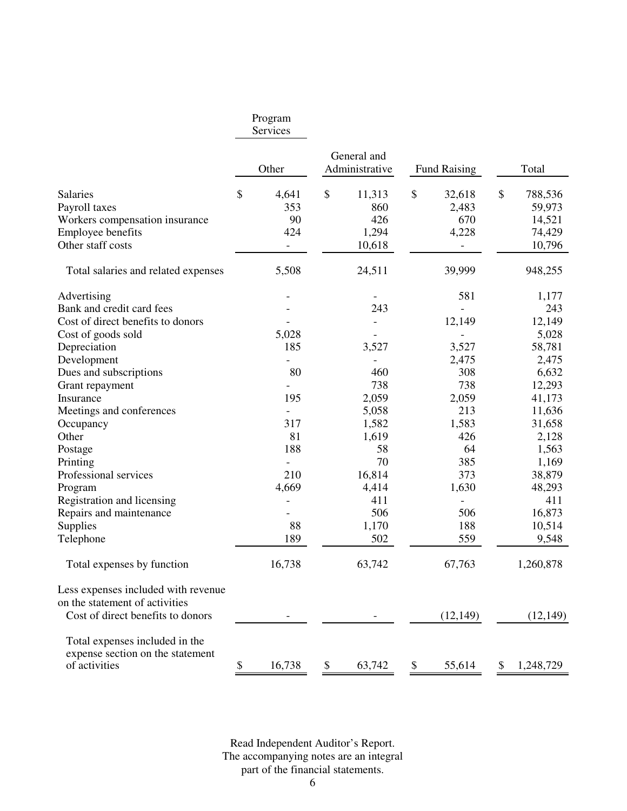# Program

Services

|                                                                                     | Other                    | General and<br>Administrative | <b>Fund Raising</b>      |              | Total     |
|-------------------------------------------------------------------------------------|--------------------------|-------------------------------|--------------------------|--------------|-----------|
| <b>Salaries</b>                                                                     | \$<br>4,641              | \$<br>11,313                  | \$<br>32,618             | $\mathbb{S}$ | 788,536   |
| Payroll taxes                                                                       | 353                      | 860                           | 2,483                    |              | 59,973    |
| Workers compensation insurance                                                      | 90                       | 426                           | 670                      |              | 14,521    |
| Employee benefits                                                                   | 424                      | 1,294                         | 4,228                    |              | 74,429    |
| Other staff costs                                                                   | $\overline{\phantom{0}}$ | 10,618                        | $\overline{\phantom{a}}$ |              | 10,796    |
| Total salaries and related expenses                                                 | 5,508                    | 24,511                        | 39,999                   |              | 948,255   |
| Advertising                                                                         |                          |                               | 581                      |              | 1,177     |
| Bank and credit card fees                                                           |                          | 243                           | $\blacksquare$           |              | 243       |
| Cost of direct benefits to donors                                                   |                          | $\overline{\phantom{a}}$      | 12,149                   |              | 12,149    |
| Cost of goods sold                                                                  | 5,028                    |                               |                          |              | 5,028     |
| Depreciation                                                                        | 185                      | 3,527                         | 3,527                    |              | 58,781    |
| Development                                                                         |                          |                               | 2,475                    |              | 2,475     |
| Dues and subscriptions                                                              | 80                       | 460                           | 308                      |              | 6,632     |
| Grant repayment                                                                     |                          | 738                           | 738                      |              | 12,293    |
| Insurance                                                                           | 195                      | 2,059                         | 2,059                    |              | 41,173    |
| Meetings and conferences                                                            |                          | 5,058                         | 213                      |              | 11,636    |
| Occupancy                                                                           | 317                      | 1,582                         | 1,583                    |              | 31,658    |
| Other                                                                               | 81                       | 1,619                         | 426                      |              | 2,128     |
| Postage                                                                             | 188                      | 58                            | 64                       |              | 1,563     |
| Printing                                                                            |                          | 70                            | 385                      |              | 1,169     |
| Professional services                                                               | 210                      | 16,814                        | 373                      |              | 38,879    |
| Program                                                                             | 4,669                    | 4,414                         | 1,630                    |              | 48,293    |
| Registration and licensing                                                          |                          | 411                           | $\overline{a}$           |              | 411       |
| Repairs and maintenance                                                             |                          | 506                           | 506                      |              | 16,873    |
| Supplies                                                                            | 88                       | 1,170                         | 188                      |              | 10,514    |
| Telephone                                                                           | 189                      | 502                           | 559                      |              | 9,548     |
| Total expenses by function                                                          | 16,738                   | 63,742                        | 67,763                   |              | 1,260,878 |
| Less expenses included with revenue<br>on the statement of activities               |                          |                               |                          |              |           |
| Cost of direct benefits to donors                                                   |                          |                               | (12, 149)                |              | (12, 149) |
| Total expenses included in the<br>expense section on the statement<br>of activities | \$<br>16,738             | \$<br>63,742                  | \$<br>55,614             | \$           | 1,248,729 |

The accompanying notes are an integral part of the financial statements. Read Independent Auditor's Report.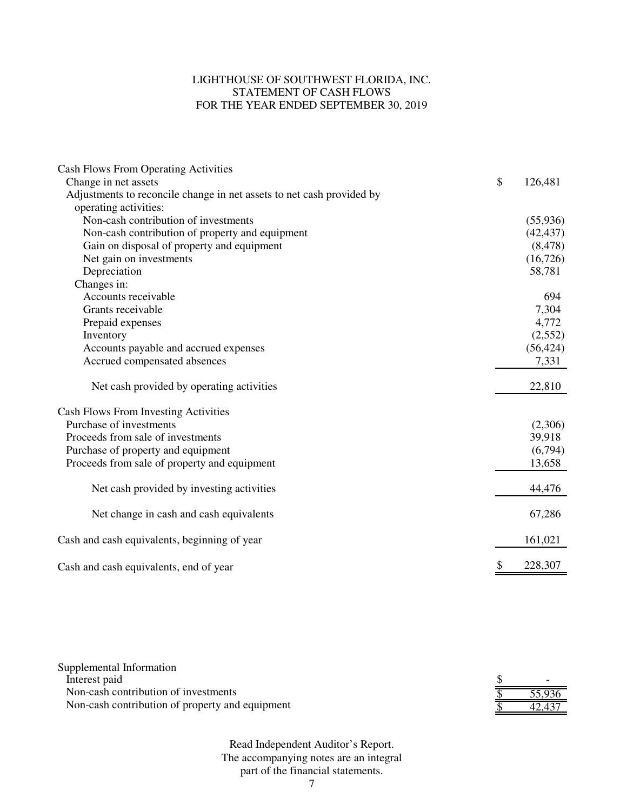# LIGHTHOUSE OF SOUTHWEST FLORIDA, INC. STATEMENT OF CASH FLOWS FOR THE YEAR ENDED SEPTEMBER 30, 2019

| <b>Cash Flows From Operating Activities</b>                           |               |
|-----------------------------------------------------------------------|---------------|
| Change in net assets                                                  | \$<br>126,481 |
| Adjustments to reconcile change in net assets to net cash provided by |               |
| operating activities:                                                 |               |
| Non-cash contribution of investments                                  | (55, 936)     |
| Non-cash contribution of property and equipment                       | (42, 437)     |
| Gain on disposal of property and equipment                            | (8, 478)      |
| Net gain on investments                                               | (16, 726)     |
| Depreciation                                                          | 58,781        |
| Changes in:                                                           |               |
| Accounts receivable                                                   | 694           |
| Grants receivable                                                     | 7,304         |
| Prepaid expenses                                                      | 4,772         |
| Inventory                                                             | (2,552)       |
| Accounts payable and accrued expenses                                 | (56, 424)     |
| Accrued compensated absences                                          | 7,331         |
| Net cash provided by operating activities                             | 22,810        |
| <b>Cash Flows From Investing Activities</b>                           |               |
| Purchase of investments                                               | (2,306)       |
| Proceeds from sale of investments                                     | 39,918        |
| Purchase of property and equipment                                    | (6,794)       |
| Proceeds from sale of property and equipment                          | 13,658        |
| Net cash provided by investing activities                             | 44,476        |
| Net change in cash and cash equivalents                               | 67,286        |
| Cash and cash equivalents, beginning of year                          | 161,021       |
| Cash and cash equivalents, end of year                                | 228,307       |

| Supplemental Information                        |        |
|-------------------------------------------------|--------|
| Interest paid                                   |        |
| Non-cash contribution of investments            | 55,936 |
| Non-cash contribution of property and equipment | 42.437 |

Read Independent Auditor's Report. The accompanying notes are an integral part of the financial statements.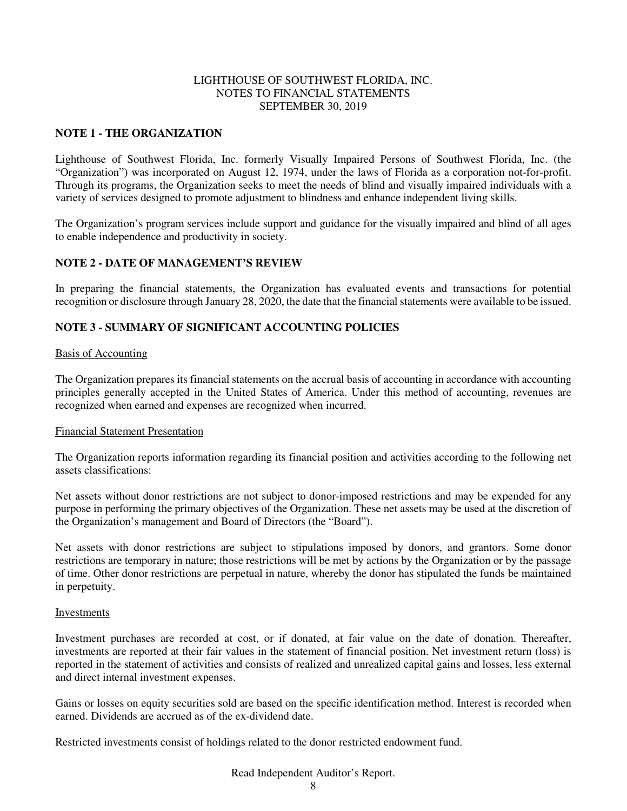### **NOTE 1 - THE ORGANIZATION**

Lighthouse of Southwest Florida, Inc. formerly Visually Impaired Persons of Southwest Florida, Inc. (the "Organization") was incorporated on August 12, 1974, under the laws of Florida as a corporation not-for-profit. Through its programs, the Organization seeks to meet the needs of blind and visually impaired individuals with a variety of services designed to promote adjustment to blindness and enhance independent living skills.

The Organization's program services include support and guidance for the visually impaired and blind of all ages to enable independence and productivity in society.

### **NOTE 2 - DATE OF MANAGEMENT'S REVIEW**

In preparing the financial statements, the Organization has evaluated events and transactions for potential recognition or disclosure through January 28, 2020, the date that the financial statements were available to be issued.

### **NOTE 3 - SUMMARY OF SIGNIFICANT ACCOUNTING POLICIES**

#### Basis of Accounting

The Organization prepares its financial statements on the accrual basis of accounting in accordance with accounting principles generally accepted in the United States of America. Under this method of accounting, revenues are recognized when earned and expenses are recognized when incurred.

#### Financial Statement Presentation

The Organization reports information regarding its financial position and activities according to the following net assets classifications:

Net assets without donor restrictions are not subject to donor-imposed restrictions and may be expended for any purpose in performing the primary objectives of the Organization. These net assets may be used at the discretion of the Organization's management and Board of Directors (the "Board").

Net assets with donor restrictions are subject to stipulations imposed by donors, and grantors. Some donor restrictions are temporary in nature; those restrictions will be met by actions by the Organization or by the passage of time. Other donor restrictions are perpetual in nature, whereby the donor has stipulated the funds be maintained in perpetuity.

#### Investments

Investment purchases are recorded at cost, or if donated, at fair value on the date of donation. Thereafter, investments are reported at their fair values in the statement of financial position. Net investment return (loss) is reported in the statement of activities and consists of realized and unrealized capital gains and losses, less external and direct internal investment expenses.

Gains or losses on equity securities sold are based on the specific identification method. Interest is recorded when earned. Dividends are accrued as of the ex-dividend date.

Restricted investments consist of holdings related to the donor restricted endowment fund.

#### Read Independent Auditor's Report.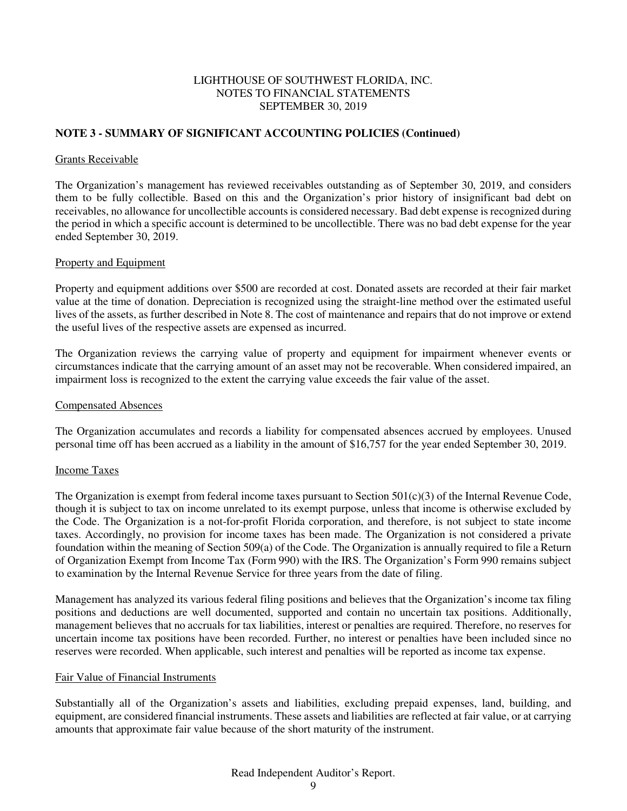## **NOTE 3 - SUMMARY OF SIGNIFICANT ACCOUNTING POLICIES (Continued)**

#### Grants Receivable

The Organization's management has reviewed receivables outstanding as of September 30, 2019, and considers them to be fully collectible. Based on this and the Organization's prior history of insignificant bad debt on receivables, no allowance for uncollectible accounts is considered necessary. Bad debt expense is recognized during the period in which a specific account is determined to be uncollectible. There was no bad debt expense for the year ended September 30, 2019.

#### Property and Equipment

Property and equipment additions over \$500 are recorded at cost. Donated assets are recorded at their fair market value at the time of donation. Depreciation is recognized using the straight-line method over the estimated useful lives of the assets, as further described in Note 8. The cost of maintenance and repairs that do not improve or extend the useful lives of the respective assets are expensed as incurred.

The Organization reviews the carrying value of property and equipment for impairment whenever events or circumstances indicate that the carrying amount of an asset may not be recoverable. When considered impaired, an impairment loss is recognized to the extent the carrying value exceeds the fair value of the asset.

#### Compensated Absences

The Organization accumulates and records a liability for compensated absences accrued by employees. Unused personal time off has been accrued as a liability in the amount of \$16,757 for the year ended September 30, 2019.

#### Income Taxes

The Organization is exempt from federal income taxes pursuant to Section  $501(c)(3)$  of the Internal Revenue Code, though it is subject to tax on income unrelated to its exempt purpose, unless that income is otherwise excluded by the Code. The Organization is a not-for-profit Florida corporation, and therefore, is not subject to state income taxes. Accordingly, no provision for income taxes has been made. The Organization is not considered a private foundation within the meaning of Section 509(a) of the Code. The Organization is annually required to file a Return of Organization Exempt from Income Tax (Form 990) with the IRS. The Organization's Form 990 remains subject to examination by the Internal Revenue Service for three years from the date of filing.

Management has analyzed its various federal filing positions and believes that the Organization's income tax filing positions and deductions are well documented, supported and contain no uncertain tax positions. Additionally, management believes that no accruals for tax liabilities, interest or penalties are required. Therefore, no reserves for uncertain income tax positions have been recorded. Further, no interest or penalties have been included since no reserves were recorded. When applicable, such interest and penalties will be reported as income tax expense.

### Fair Value of Financial Instruments

Substantially all of the Organization's assets and liabilities, excluding prepaid expenses, land, building, and equipment, are considered financial instruments. These assets and liabilities are reflected at fair value, or at carrying amounts that approximate fair value because of the short maturity of the instrument.

### Read Independent Auditor's Report.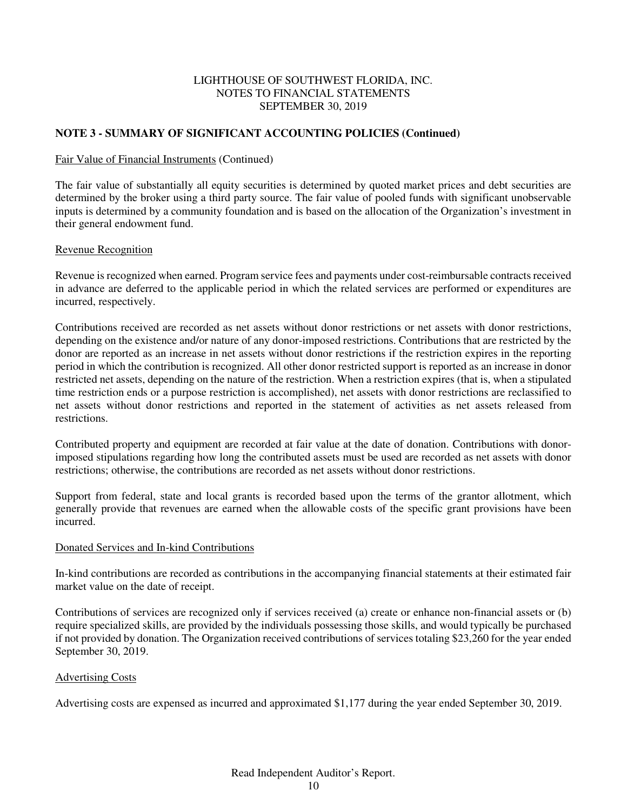## **NOTE 3 - SUMMARY OF SIGNIFICANT ACCOUNTING POLICIES (Continued)**

#### Fair Value of Financial Instruments (Continued)

The fair value of substantially all equity securities is determined by quoted market prices and debt securities are determined by the broker using a third party source. The fair value of pooled funds with significant unobservable inputs is determined by a community foundation and is based on the allocation of the Organization's investment in their general endowment fund.

### Revenue Recognition

Revenue is recognized when earned. Program service fees and payments under cost-reimbursable contracts received in advance are deferred to the applicable period in which the related services are performed or expenditures are incurred, respectively.

Contributions received are recorded as net assets without donor restrictions or net assets with donor restrictions, depending on the existence and/or nature of any donor-imposed restrictions. Contributions that are restricted by the donor are reported as an increase in net assets without donor restrictions if the restriction expires in the reporting period in which the contribution is recognized. All other donor restricted support is reported as an increase in donor restricted net assets, depending on the nature of the restriction. When a restriction expires (that is, when a stipulated time restriction ends or a purpose restriction is accomplished), net assets with donor restrictions are reclassified to net assets without donor restrictions and reported in the statement of activities as net assets released from restrictions.

Contributed property and equipment are recorded at fair value at the date of donation. Contributions with donorimposed stipulations regarding how long the contributed assets must be used are recorded as net assets with donor restrictions; otherwise, the contributions are recorded as net assets without donor restrictions.

Support from federal, state and local grants is recorded based upon the terms of the grantor allotment, which generally provide that revenues are earned when the allowable costs of the specific grant provisions have been incurred.

#### Donated Services and In-kind Contributions

In-kind contributions are recorded as contributions in the accompanying financial statements at their estimated fair market value on the date of receipt.

Contributions of services are recognized only if services received (a) create or enhance non-financial assets or (b) require specialized skills, are provided by the individuals possessing those skills, and would typically be purchased if not provided by donation. The Organization received contributions of services totaling \$23,260 for the year ended September 30, 2019.

#### Advertising Costs

Advertising costs are expensed as incurred and approximated \$1,177 during the year ended September 30, 2019.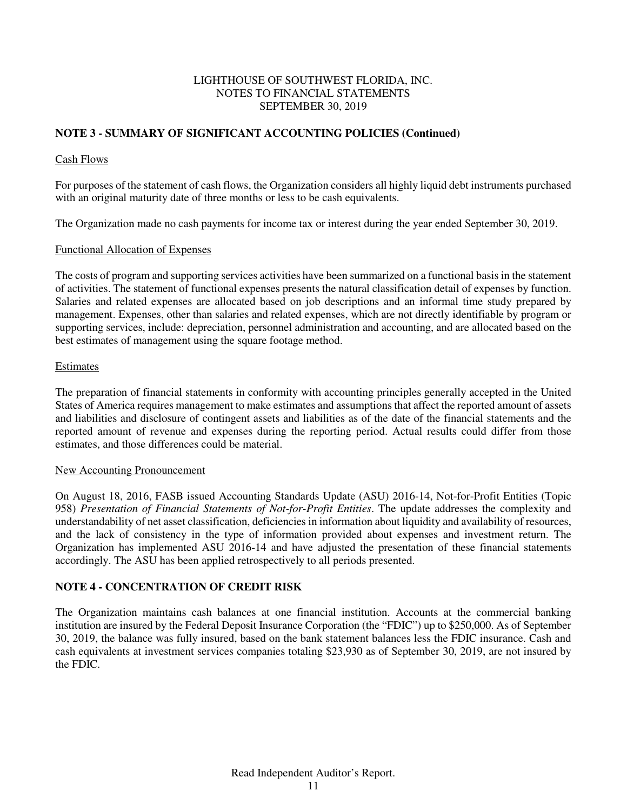## **NOTE 3 - SUMMARY OF SIGNIFICANT ACCOUNTING POLICIES (Continued)**

### Cash Flows

For purposes of the statement of cash flows, the Organization considers all highly liquid debt instruments purchased with an original maturity date of three months or less to be cash equivalents.

The Organization made no cash payments for income tax or interest during the year ended September 30, 2019.

### Functional Allocation of Expenses

The costs of program and supporting services activities have been summarized on a functional basis in the statement of activities. The statement of functional expenses presents the natural classification detail of expenses by function. Salaries and related expenses are allocated based on job descriptions and an informal time study prepared by management. Expenses, other than salaries and related expenses, which are not directly identifiable by program or supporting services, include: depreciation, personnel administration and accounting, and are allocated based on the best estimates of management using the square footage method.

### Estimates

The preparation of financial statements in conformity with accounting principles generally accepted in the United States of America requires management to make estimates and assumptions that affect the reported amount of assets and liabilities and disclosure of contingent assets and liabilities as of the date of the financial statements and the reported amount of revenue and expenses during the reporting period. Actual results could differ from those estimates, and those differences could be material.

## New Accounting Pronouncement

On August 18, 2016, FASB issued Accounting Standards Update (ASU) 2016-14, Not-for-Profit Entities (Topic 958) *Presentation of Financial Statements of Not-for-Profit Entities*. The update addresses the complexity and understandability of net asset classification, deficiencies in information about liquidity and availability of resources, and the lack of consistency in the type of information provided about expenses and investment return. The Organization has implemented ASU 2016-14 and have adjusted the presentation of these financial statements accordingly. The ASU has been applied retrospectively to all periods presented.

## **NOTE 4 - CONCENTRATION OF CREDIT RISK**

The Organization maintains cash balances at one financial institution. Accounts at the commercial banking institution are insured by the Federal Deposit Insurance Corporation (the "FDIC") up to \$250,000. As of September 30, 2019, the balance was fully insured, based on the bank statement balances less the FDIC insurance. Cash and cash equivalents at investment services companies totaling \$23,930 as of September 30, 2019, are not insured by the FDIC.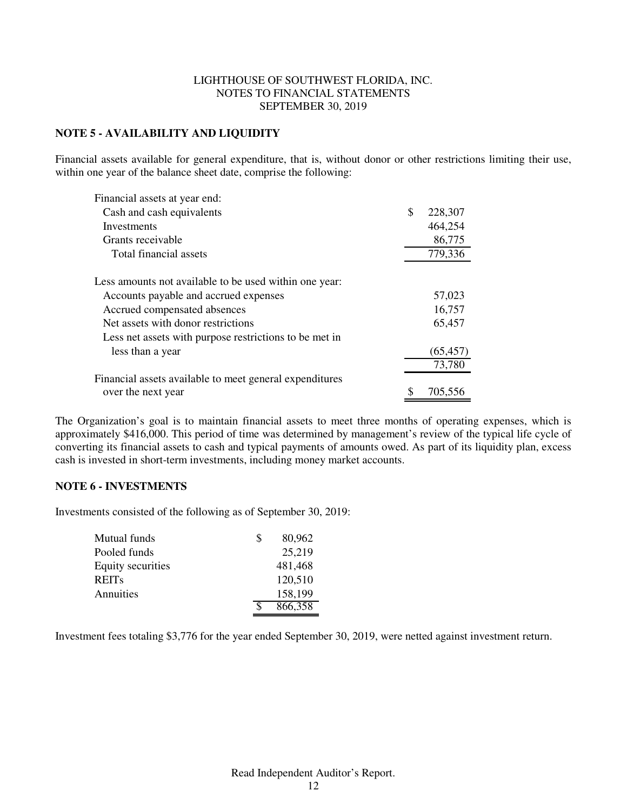## **NOTE 5 - AVAILABILITY AND LIQUIDITY**

Financial assets available for general expenditure, that is, without donor or other restrictions limiting their use, within one year of the balance sheet date, comprise the following:

| Financial assets at year end:                           |               |
|---------------------------------------------------------|---------------|
| Cash and cash equivalents                               | \$<br>228,307 |
| Investments                                             | 464,254       |
| Grants receivable                                       | 86,775        |
| Total financial assets                                  | 779,336       |
| Less amounts not available to be used within one year:  |               |
| Accounts payable and accrued expenses                   | 57,023        |
| Accrued compensated absences                            | 16,757        |
| Net assets with donor restrictions                      | 65,457        |
| Less net assets with purpose restrictions to be met in  |               |
| less than a year                                        | (65, 457)     |
|                                                         | 73,780        |
| Financial assets available to meet general expenditures |               |
| over the next year                                      | \$<br>705,556 |

The Organization's goal is to maintain financial assets to meet three months of operating expenses, which is approximately \$416,000. This period of time was determined by management's review of the typical life cycle of converting its financial assets to cash and typical payments of amounts owed. As part of its liquidity plan, excess cash is invested in short-term investments, including money market accounts.

### **NOTE 6 - INVESTMENTS**

Investments consisted of the following as of September 30, 2019:

| Mutual funds             | <b>S</b> | 80,962  |
|--------------------------|----------|---------|
| Pooled funds             |          | 25,219  |
| <b>Equity securities</b> |          | 481,468 |
| <b>REITs</b>             |          | 120,510 |
| Annuities                |          | 158,199 |
|                          |          | 866,358 |

Investment fees totaling \$3,776 for the year ended September 30, 2019, were netted against investment return.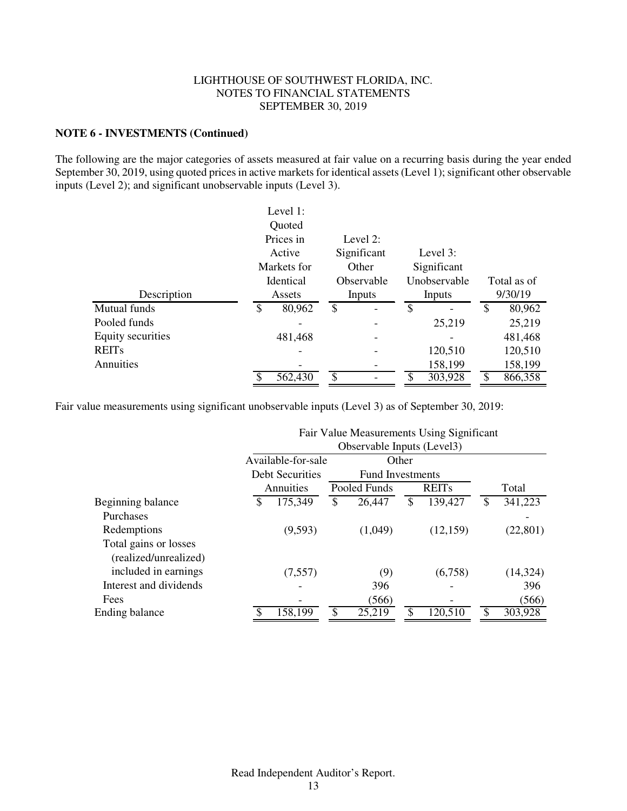### **NOTE 6 - INVESTMENTS (Continued)**

The following are the major categories of assets measured at fair value on a recurring basis during the year ended September 30, 2019, using quoted prices in active markets for identical assets (Level 1); significant other observable inputs (Level 2); and significant unobservable inputs (Level 3).

|                   | Level 1:             |             |    |              |              |             |
|-------------------|----------------------|-------------|----|--------------|--------------|-------------|
|                   | Quoted               |             |    |              |              |             |
|                   | Prices in            | Level $2:$  |    |              |              |             |
|                   | Active               | Significant |    | Level $3:$   |              |             |
|                   | Markets for          | Other       |    | Significant  |              |             |
|                   | Identical            | Observable  |    | Unobservable |              | Total as of |
| Description       | Assets               | Inputs      |    | Inputs       |              | 9/30/19     |
| Mutual funds      | \$<br>80,962         | \$          | \$ |              | $\mathbb{S}$ | 80,962      |
| Pooled funds      |                      |             |    | 25,219       |              | 25,219      |
| Equity securities | 481,468              |             |    |              |              | 481,468     |
| <b>REITs</b>      |                      |             |    | 120,510      |              | 120,510     |
| Annuities         |                      |             |    | 158,199      |              | 158,199     |
|                   | $\overline{562,}430$ | \$          | S  | 303,928      | \$           | 866,358     |

Fair value measurements using significant unobservable inputs (Level 3) as of September 30, 2019:

|                        | Fair Value Measurements Using Significant<br>Observable Inputs (Level3) |                        |    |                         |       |              |       |           |  |
|------------------------|-------------------------------------------------------------------------|------------------------|----|-------------------------|-------|--------------|-------|-----------|--|
|                        |                                                                         | Available-for-sale     |    |                         | Other |              |       |           |  |
|                        |                                                                         | <b>Debt Securities</b> |    | <b>Fund Investments</b> |       |              |       |           |  |
|                        |                                                                         | Annuities              |    | Pooled Funds            |       | <b>REITs</b> | Total |           |  |
| Beginning balance      | \$                                                                      | 175,349                | \$ | 26,447                  | \$    | 139,427      | \$    | 341,223   |  |
| Purchases              |                                                                         |                        |    |                         |       |              |       |           |  |
| Redemptions            |                                                                         | (9,593)                |    | (1,049)                 |       | (12, 159)    |       | (22, 801) |  |
| Total gains or losses  |                                                                         |                        |    |                         |       |              |       |           |  |
| (realized/unrealized)  |                                                                         |                        |    |                         |       |              |       |           |  |
| included in earnings   |                                                                         | (7, 557)               |    | (9)                     |       | (6,758)      |       | (14,324)  |  |
| Interest and dividends |                                                                         |                        |    | 396                     |       |              |       | 396       |  |
| Fees                   |                                                                         |                        |    | (566)                   |       |              |       | (566)     |  |
| Ending balance         |                                                                         | 158,199                | \$ | 25,219                  | \$    | 120,510      |       | 303,928   |  |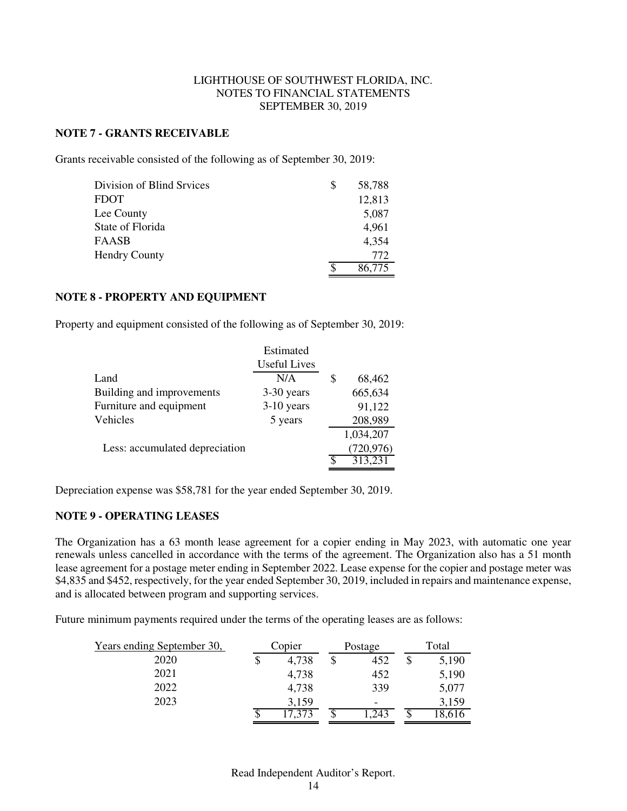### **NOTE 7 - GRANTS RECEIVABLE**

Grants receivable consisted of the following as of September 30, 2019:

| Division of Blind Srvices | 58,788 |
|---------------------------|--------|
| FDOT                      | 12,813 |
| Lee County                | 5,087  |
| State of Florida          | 4,961  |
| FAASB                     | 4,354  |
| <b>Hendry County</b>      | 772    |
|                           | 86,775 |

### **NOTE 8 - PROPERTY AND EQUIPMENT**

Property and equipment consisted of the following as of September 30, 2019:

|                                | Estimated           |   |            |
|--------------------------------|---------------------|---|------------|
|                                | <b>Useful Lives</b> |   |            |
| Land                           | N/A                 | S | 68,462     |
| Building and improvements      | 3-30 years          |   | 665,634    |
| Furniture and equipment        | $3-10$ years        |   | 91,122     |
| Vehicles                       | 5 years             |   | 208,989    |
|                                |                     |   | 1,034,207  |
| Less: accumulated depreciation |                     |   | (720, 976) |
|                                |                     |   | 313,231    |

Depreciation expense was \$58,781 for the year ended September 30, 2019.

## **NOTE 9 - OPERATING LEASES**

The Organization has a 63 month lease agreement for a copier ending in May 2023, with automatic one year renewals unless cancelled in accordance with the terms of the agreement. The Organization also has a 51 month lease agreement for a postage meter ending in September 2022. Lease expense for the copier and postage meter was \$4,835 and \$452, respectively, for the year ended September 30, 2019, included in repairs and maintenance expense, and is allocated between program and supporting services.

Future minimum payments required under the terms of the operating leases are as follows:

| Years ending September 30, | Copier | Postage                  | Total |
|----------------------------|--------|--------------------------|-------|
| 2020                       | 4,738  | 452                      | 5,190 |
| 2021                       | 4,738  | 452                      | 5,190 |
| 2022                       | 4,738  | 339                      | 5,077 |
| 2023                       | 3,159  | $\overline{\phantom{0}}$ | 3,159 |
|                            | 17,373 | .243                     | 8,616 |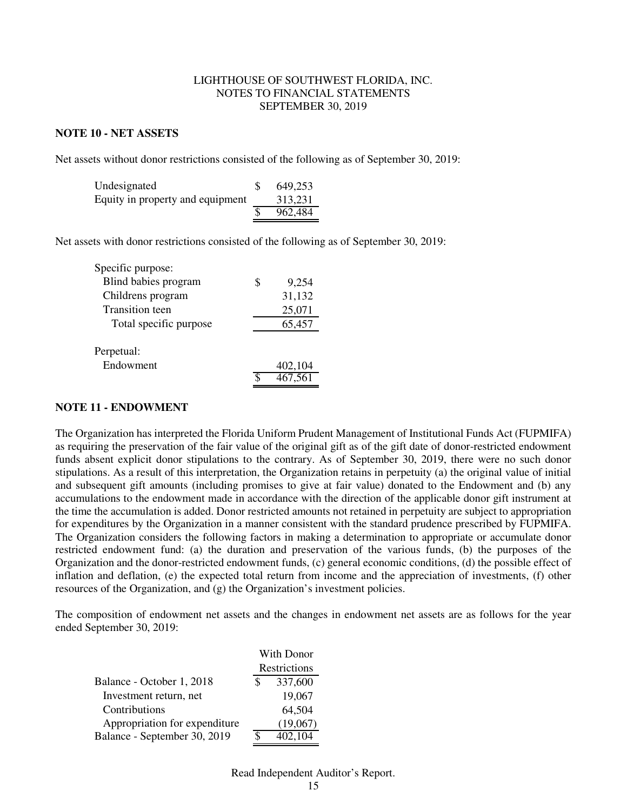#### **NOTE 10 - NET ASSETS**

Net assets without donor restrictions consisted of the following as of September 30, 2019:

| Undesignated                     | 649,253 |
|----------------------------------|---------|
| Equity in property and equipment | 313,231 |
|                                  | 962,484 |

Net assets with donor restrictions consisted of the following as of September 30, 2019:

| Specific purpose:       |             |
|-------------------------|-------------|
| Blind babies program    | \$<br>9.254 |
| Childrens program       | 31,132      |
| <b>Transition teen</b>  | 25,071      |
| Total specific purpose  | 65,457      |
| Perpetual:<br>Endowment | 402,104     |
|                         | 467,561     |
|                         |             |

#### **NOTE 11 - ENDOWMENT**

The Organization has interpreted the Florida Uniform Prudent Management of Institutional Funds Act (FUPMIFA) as requiring the preservation of the fair value of the original gift as of the gift date of donor-restricted endowment funds absent explicit donor stipulations to the contrary. As of September 30, 2019, there were no such donor stipulations. As a result of this interpretation, the Organization retains in perpetuity (a) the original value of initial and subsequent gift amounts (including promises to give at fair value) donated to the Endowment and (b) any accumulations to the endowment made in accordance with the direction of the applicable donor gift instrument at the time the accumulation is added. Donor restricted amounts not retained in perpetuity are subject to appropriation for expenditures by the Organization in a manner consistent with the standard prudence prescribed by FUPMIFA. The Organization considers the following factors in making a determination to appropriate or accumulate donor restricted endowment fund: (a) the duration and preservation of the various funds, (b) the purposes of the Organization and the donor-restricted endowment funds, (c) general economic conditions, (d) the possible effect of inflation and deflation, (e) the expected total return from income and the appreciation of investments, (f) other resources of the Organization, and (g) the Organization's investment policies.

The composition of endowment net assets and the changes in endowment net assets are as follows for the year ended September 30, 2019:

|                               | With Donor   |                    |  |
|-------------------------------|--------------|--------------------|--|
|                               | Restrictions |                    |  |
| Balance - October 1, 2018     |              | 337,600            |  |
| Investment return, net        |              | 19,067             |  |
| Contributions                 |              | 64,504             |  |
| Appropriation for expenditure |              | (19,067)           |  |
| Balance - September 30, 2019  |              | $\sqrt{402}$ , 104 |  |

### Read Independent Auditor's Report.